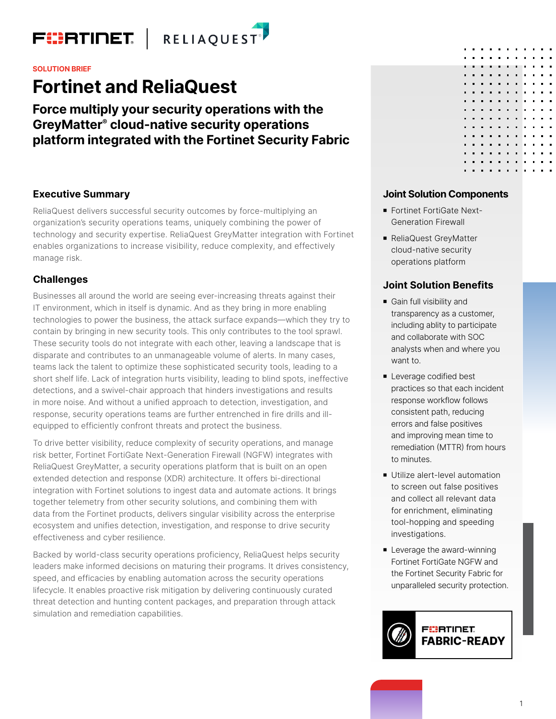

**SOLUTION BRIEF**

# **Fortinet and ReliaQuest**

**Force multiply your security operations with the GreyMatter® cloud-native security operations platform integrated with the Fortinet Security Fabric** 

# **Executive Summary**

ReliaQuest delivers successful security outcomes by force-multiplying an organization's security operations teams, uniquely combining the power of technology and security expertise. ReliaQuest GreyMatter integration with Fortinet enables organizations to increase visibility, reduce complexity, and effectively manage risk.

# **Challenges**

Businesses all around the world are seeing ever-increasing threats against their IT environment, which in itself is dynamic. And as they bring in more enabling technologies to power the business, the attack surface expands—which they try to contain by bringing in new security tools. This only contributes to the tool sprawl. These security tools do not integrate with each other, leaving a landscape that is disparate and contributes to an unmanageable volume of alerts. In many cases, teams lack the talent to optimize these sophisticated security tools, leading to a short shelf life. Lack of integration hurts visibility, leading to blind spots, ineffective detections, and a swivel-chair approach that hinders investigations and results in more noise. And without a unified approach to detection, investigation, and response, security operations teams are further entrenched in fire drills and illequipped to efficiently confront threats and protect the business.

To drive better visibility, reduce complexity of security operations, and manage risk better, Fortinet FortiGate Next-Generation Firewall (NGFW) integrates with ReliaQuest GreyMatter, a security operations platform that is built on an open extended detection and response (XDR) architecture. It offers bi-directional integration with Fortinet solutions to ingest data and automate actions. It brings together telemetry from other security solutions, and combining them with data from the Fortinet products, delivers singular visibility across the enterprise ecosystem and unifies detection, investigation, and response to drive security effectiveness and cyber resilience.

Backed by world-class security operations proficiency, ReliaQuest helps security leaders make informed decisions on maturing their programs. It drives consistency, speed, and efficacies by enabling automation across the security operations lifecycle. It enables proactive risk mitigation by delivering continuously curated threat detection and hunting content packages, and preparation through attack simulation and remediation capabilities.

## **Joint Solution Components**

- Fortinet FortiGate Next-Generation Firewall
- ReliaQuest GreyMatter cloud-native security operations platform

# **Joint Solution Benefits**

- Gain full visibility and transparency as a customer, including ablity to participate and collaborate with SOC analysts when and where you want to.
- **Leverage codified best** practices so that each incident response workflow follows consistent path, reducing errors and false positives and improving mean time to remediation (MTTR) from hours to minutes.
- **Utilize alert-level automation** to screen out false positives and collect all relevant data for enrichment, eliminating tool-hopping and speeding investigations.
- **E** Leverage the award-winning Fortinet FortiGate NGFW and the Fortinet Security Fabric for unparalleled security protection.

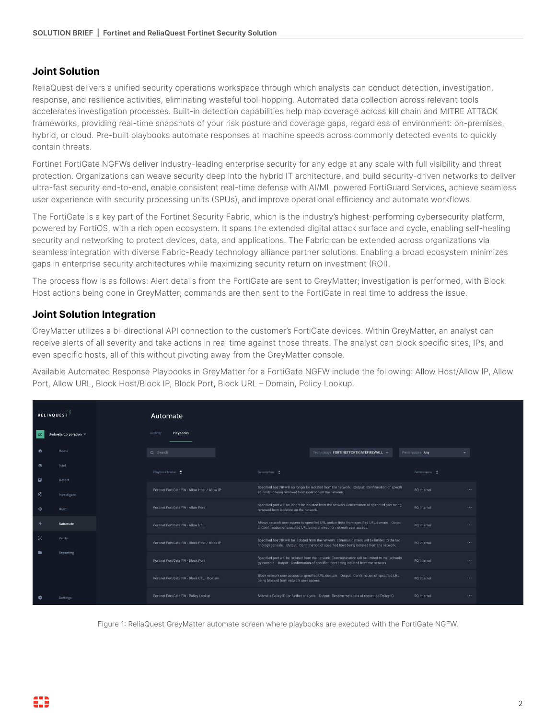# **Joint Solution**

ReliaQuest delivers a unified security operations workspace through which analysts can conduct detection, investigation, response, and resilience activities, eliminating wasteful tool-hopping. Automated data collection across relevant tools accelerates investigation processes. Built-in detection capabilities help map coverage across kill chain and MITRE ATT&CK frameworks, providing real-time snapshots of your risk posture and coverage gaps, regardless of environment: on-premises, hybrid, or cloud. Pre-built playbooks automate responses at machine speeds across commonly detected events to quickly contain threats.

Fortinet FortiGate NGFWs deliver industry-leading enterprise security for any edge at any scale with full visibility and threat protection. Organizations can weave security deep into the hybrid IT architecture, and build security-driven networks to deliver ultra-fast security end-to-end, enable consistent real-time defense with AI/ML powered FortiGuard Services, achieve seamless user experience with security processing units (SPUs), and improve operational efficiency and automate workflows.

The FortiGate is a key part of the Fortinet Security Fabric, which is the industry's highest-performing cybersecurity platform, powered by FortiOS, with a rich open ecosystem. It spans the extended digital attack surface and cycle, enabling self-healing security and networking to protect devices, data, and applications. The Fabric can be extended across organizations via seamless integration with diverse Fabric-Ready technology alliance partner solutions. Enabling a broad ecosystem minimizes gaps in enterprise security architectures while maximizing security return on investment (ROI).

The process flow is as follows: Alert details from the FortiGate are sent to GreyMatter; investigation is performed, with Block Host actions being done in GreyMatter; commands are then sent to the FortiGate in real time to address the issue.

# **Joint Solution Integration**

GreyMatter utilizes a bi-directional API connection to the customer's FortiGate devices. Within GreyMatter, an analyst can receive alerts of all severity and take actions in real time against those threats. The analyst can block specific sites, IPs, and even specific hosts, all of this without pivoting away from the GreyMatter console.

Available Automated Response Playbooks in GreyMatter for a FortiGate NGFW include the following: Allow Host/Allow IP, Allow Port, Allow URL, Block Host/Block IP, Block Port, Block URL – Domain, Policy Lookup.

| <b>RELIAQUEST</b>              |                        | Automate                                      |                                                         |                                                                                                                                                                                            |                          |          |
|--------------------------------|------------------------|-----------------------------------------------|---------------------------------------------------------|--------------------------------------------------------------------------------------------------------------------------------------------------------------------------------------------|--------------------------|----------|
| $\overline{\phantom{a}}$ uc    | Umbrella Corporation = | Playbooks<br>Activity                         |                                                         |                                                                                                                                                                                            |                          |          |
| $\bullet$                      | Home                   | Q Search                                      |                                                         | Technology: FORTINETFORTIGATEFIREWALL -                                                                                                                                                    | Permissions: Any         |          |
| $\bullet$<br>$\mathbf{\Theta}$ | Intel<br>Detect        | Playbook Name                                 | Description $\hat{\bullet}$                             |                                                                                                                                                                                            | Permissions <sup>+</sup> |          |
| ൫                              | Investigate            | Fortinet FortiGate FW - Allow Host / Allow IP | ed host/IP being removed from isolation on the network. | Specified host/IP will no longer be isolated from the network. Output: Confirmation of specifi                                                                                             | RO Internal              | $\cdots$ |
| ۰                              | Hunt                   | Fortinet FortiGate FW - Allow Port            | removed from isolation on the network.                  | Specified port will no longer be isolated from the network.Confirmation of specified port being                                                                                            | RQ Internal              | $\cdots$ |
| ۰                              | Automate               | Fortinet FortiGate FW - Allow URL             |                                                         | Allows network user access to specified URL and/or links from specified URL domain. Outpu<br>t: Confirmation of specified URL being allowed for network user access.                       | RO Internal              | $\cdots$ |
| -53                            | Verify                 | Fortinet FortiGate FW - Block Host / Block IP |                                                         | Specified host/IP will be isolated from the network. Communications will be limited to the tec<br>hnology console. Output: Confirmation of specified host being isolated from the network. | RO Internal              | $\cdots$ |
|                                | Reporting              | Fortinet FortiGate FW - Block Port            |                                                         | Specified port will be isolated from the network. Communication will be limited to the technolo<br>gy console. Output: Confirmation of specified port being isolated from the network.     | RO Internal              | $\cdots$ |
|                                |                        | Fortinet FortiGate FW - Block URL - Domain    | being blocked from network user access.                 | Block network user access to specified URL domain. Output: Confirmation of specified URL                                                                                                   | RQ Internal              | $\cdots$ |
| $\bullet$                      | Settings               | Fortinet FortiGate FW - Policy Lookup         |                                                         | Submit a Policy ID for further analysis. Output: Receive metadata of requested Policy ID.                                                                                                  | RO Internal              | $\cdots$ |

Figure 1: ReliaQuest GreyMatter automate screen where playbooks are executed with the FortiGate NGFW.